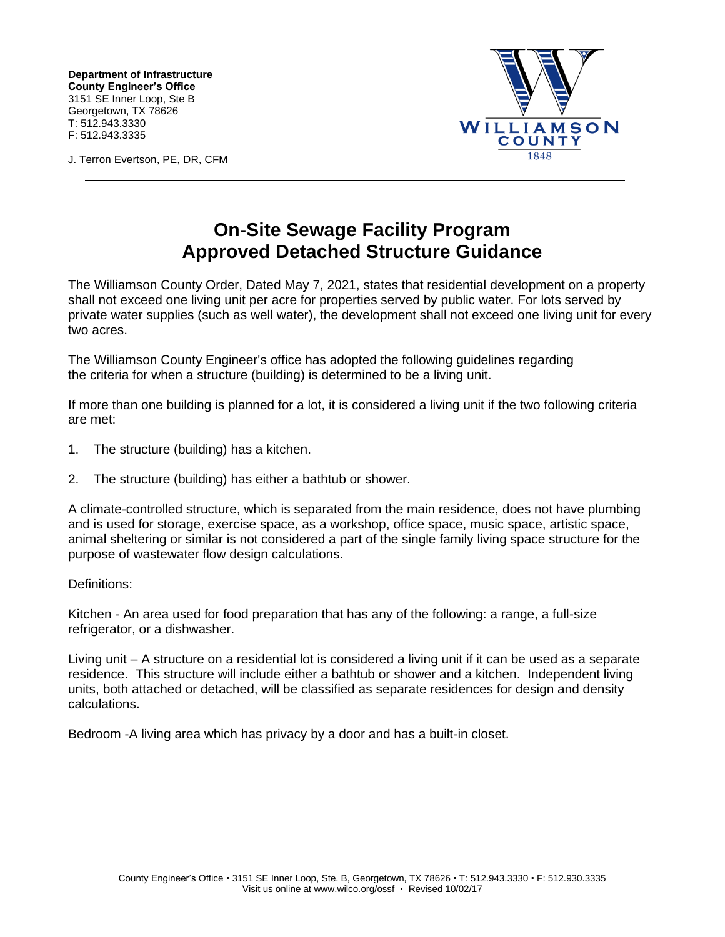**Department of Infrastructure County Engineer's Office** 3151 SE Inner Loop, Ste B Georgetown, TX 78626 T: 512.943.3330 F: 512.943.3335



J. Terron Evertson, PE, DR, CFM

## **On-Site Sewage Facility Program Approved Detached Structure Guidance**

The Williamson County Order, Dated May 7, 2021, states that residential development on a property shall not exceed one living unit per acre for properties served by public water. For lots served by private water supplies (such as well water), the development shall not exceed one living unit for every two acres.

The Williamson County Engineer's office has adopted the following guidelines regarding the criteria for when a structure (building) is determined to be a living unit.

If more than one building is planned for a lot, it is considered a living unit if the two following criteria are met:

- 1. The structure (building) has a kitchen.
- 2. The structure (building) has either a bathtub or shower.

A climate-controlled structure, which is separated from the main residence, does not have plumbing and is used for storage, exercise space, as a workshop, office space, music space, artistic space, animal sheltering or similar is not considered a part of the single family living space structure for the purpose of wastewater flow design calculations.

## Definitions:

Kitchen - An area used for food preparation that has any of the following: a range, a full-size refrigerator, or a dishwasher.

Living unit – A structure on a residential lot is considered a living unit if it can be used as a separate residence. This structure will include either a bathtub or shower and a kitchen. Independent living units, both attached or detached, will be classified as separate residences for design and density calculations.

Bedroom -A living area which has privacy by a door and has a built-in closet.